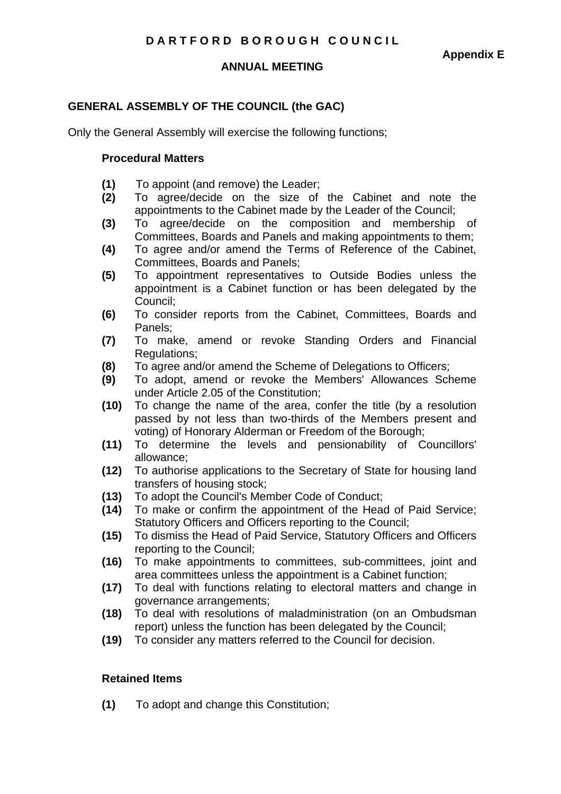#### **ANNUAL MEETING**

# **GENERAL ASSEMBLY OF THE COUNCIL (the GAC)**

Only the General Assembly will exercise the following functions;

#### **Procedural Matters**

- **(1)** To appoint (and remove) the Leader;
- **(2)** To agree/decide on the size of the Cabinet and note the appointments to the Cabinet made by the Leader of the Council;
- **(3)** To agree/decide on the composition and membership of Committees, Boards and Panels and making appointments to them;
- **(4)** To agree and/or amend the Terms of Reference of the Cabinet, Committees, Boards and Panels;
- **(5)** To appointment representatives to Outside Bodies unless the appointment is a Cabinet function or has been delegated by the Council;
- **(6)** To consider reports from the Cabinet, Committees, Boards and Panels;
- **(7)** To make, amend or revoke Standing Orders and Financial Regulations;
- **(8)** To agree and/or amend the Scheme of Delegations to Officers;
- **(9)** To adopt, amend or revoke the Members' Allowances Scheme under Article 2.05 of the Constitution;
- **(10)** To change the name of the area, confer the title (by a resolution passed by not less than two-thirds of the Members present and voting) of Honorary Alderman or Freedom of the Borough;
- **(11)** To determine the levels and pensionability of Councillors' allowance;
- **(12)** To authorise applications to the Secretary of State for housing land transfers of housing stock;
- **(13)** To adopt the Council's Member Code of Conduct;
- **(14)** To make or confirm the appointment of the Head of Paid Service; Statutory Officers and Officers reporting to the Council;
- **(15)** To dismiss the Head of Paid Service, Statutory Officers and Officers reporting to the Council;
- **(16)** To make appointments to committees, sub-committees, joint and area committees unless the appointment is a Cabinet function;
- **(17)** To deal with functions relating to electoral matters and change in governance arrangements;
- **(18)** To deal with resolutions of maladministration (on an Ombudsman report) unless the function has been delegated by the Council;
- **(19)** To consider any matters referred to the Council for decision.

### **Retained Items**

**(1)** To adopt and change this Constitution;